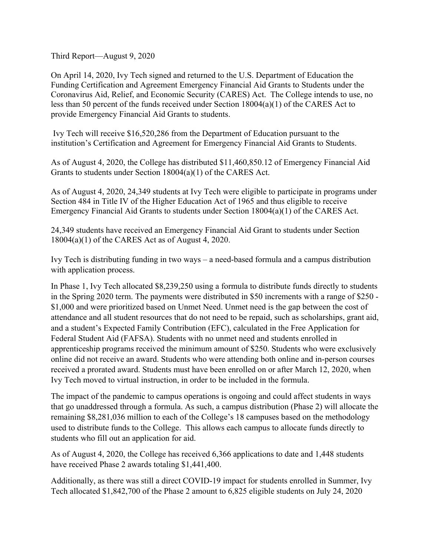Third Report—August 9, 2020

On April 14, 2020, Ivy Tech signed and returned to the U.S. Department of Education the Funding Certification and Agreement Emergency Financial Aid Grants to Students under the Coronavirus Aid, Relief, and Economic Security (CARES) Act. The College intends to use, no less than 50 percent of the funds received under Section 18004(a)(1) of the CARES Act to provide Emergency Financial Aid Grants to students.

Ivy Tech will receive \$16,520,286 from the Department of Education pursuant to the institution's Certification and Agreement for Emergency Financial Aid Grants to Students.

As of August 4, 2020, the College has distributed \$11,460,850.12 of Emergency Financial Aid Grants to students under Section 18004(a)(1) of the CARES Act.

As of August 4, 2020, 24,349 students at Ivy Tech were eligible to participate in programs under Section 484 in Title IV of the Higher Education Act of 1965 and thus eligible to receive Emergency Financial Aid Grants to students under Section 18004(a)(1) of the CARES Act.

24,349 students have received an Emergency Financial Aid Grant to students under Section 18004(a)(1) of the CARES Act as of August 4, 2020.

Ivy Tech is distributing funding in two ways – a need-based formula and a campus distribution with application process.

In Phase 1, Ivy Tech allocated \$8,239,250 using a formula to distribute funds directly to students in the Spring 2020 term. The payments were distributed in \$50 increments with a range of \$250 - \$1,000 and were prioritized based on Unmet Need. Unmet need is the gap between the cost of attendance and all student resources that do not need to be repaid, such as scholarships, grant aid, and a student's Expected Family Contribution (EFC), calculated in the Free Application for Federal Student Aid (FAFSA). Students with no unmet need and students enrolled in apprenticeship programs received the minimum amount of \$250. Students who were exclusively online did not receive an award. Students who were attending both online and in-person courses received a prorated award. Students must have been enrolled on or after March 12, 2020, when Ivy Tech moved to virtual instruction, in order to be included in the formula.

The impact of the pandemic to campus operations is ongoing and could affect students in ways that go unaddressed through a formula. As such, a campus distribution (Phase 2) will allocate the remaining \$8,281,036 million to each of the College's 18 campuses based on the methodology used to distribute funds to the College. This allows each campus to allocate funds directly to students who fill out an application for aid.

As of August 4, 2020, the College has received 6,366 applications to date and 1,448 students have received Phase 2 awards totaling \$1,441,400.

Additionally, as there was still a direct COVID-19 impact for students enrolled in Summer, Ivy Tech allocated \$1,842,700 of the Phase 2 amount to 6,825 eligible students on July 24, 2020